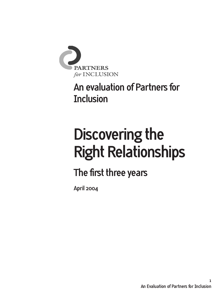

# **An evaluation of Partners for Inclusion**

# **Discovering the Right Relationships**

# **The first three years**

**April 2004**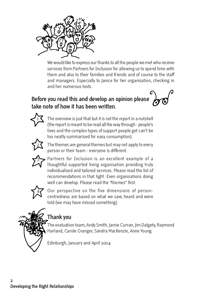

We would like to express our thanks to all the people we met who receive services from Partners for Inclusion for allowing us to spend time with them and also to their families and friends and of course to the staff and managers. Especially to Janice for her organisation, checking in and her numerous texts.

# **Before you read this and develop an opinion please take note of how it has been written.**



The overview is just that but it is not the report in a nutshell (the report is meant to be read all the way through - people's lives and the complex types of support people get can't be too neatly summarised for easy consumption).



The themes are general themes but may not apply to every person or their team - everyone is different.



Partners for Inclusion is an excellent example of a thoughtful supported living organisation providing truly individualised and tailored services. Please read the list of recommendations in that light. Even organisations doing well can develop. Please read the "themes" first.



Our perspective on the five dimensions of personcentredness are based on what we saw, heard and were told (we may have missed something).



# **Thank you**

The evaluation team, Andy Smith, Jamie Curran, Jim Dalgety, Raymond Harland, Carole Granger, Sandra MacKenzie, Anne Young.

Edinburgh, January and April 2004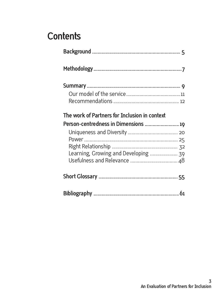# **Contents**

| The work of Partners for Inclusion in context |  |
|-----------------------------------------------|--|
|                                               |  |
| Person-centredness in Dimensions  19          |  |
|                                               |  |
|                                               |  |
|                                               |  |
| Learning, Growing and Developing  39          |  |
|                                               |  |
|                                               |  |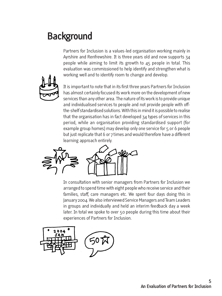# **Background**

Partners for Inclusion is a values-led organisation working mainly in Ayrshire and Renfrewshire. It is three years old and now supports 34 people while aiming to limit its growth to 45 people in total. This evaluation was commissioned to help identify and strengthen what is working well and to identify room to change and develop.



It is important to note that in its first three years Partners for Inclusion has almost certainly focused its work more on the development of new services than any other area. The nature of its work is to provide unique and individualised services to people and not provide people with offthe-shelf standardised solutions. With this in mind it is possible to realise that the organisation has in fact developed 34 types of services in this period, while an organisation providing standardised support (for example group homes) may develop only one service for 5 or 6 people but just replicate that 6 or 7 times and would therefore have a different learning approach entirely.



In consultation with senior managers from Partners for Inclusion we arranged to spend time with eight people who receive service and their families, staff, care managers etc. We spent four days doing this in January 2004. We also interviewed Service Managers and Team Leaders in groups and individually and held an interim feedback day a week later. In total we spoke to over 50 people during this time about their experiences of Partners for Inclusion.

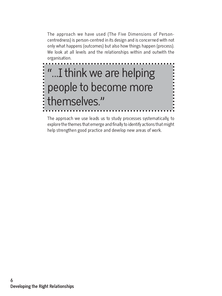The approach we have used (The Five Dimensions of Personcentredness) is person-centred in its design and is concerned with not only what happens (outcomes) but also how things happen (process). We look at all levels and the relationships within and outwith the organisation.



The approach we use leads us to study processes systematically, to explore the themes that emerge and finally to identify actions that might help strengthen good practice and develop new areas of work.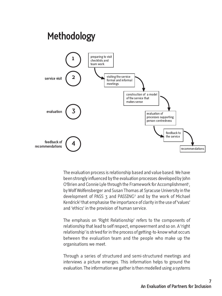

The evaluation process is relationship based and value based. We have been strongly influenced by the evaluation processes developed by John O'Brien and Connie Lyle through the Framework for Accomplishment<sup>1</sup>, , by Wolf Wolfensberger and Susan Thomas at Syracuse University in the development of PASS  $\overline{x}$  and PASSING<sup>2</sup> and by the work of Michael Kendrick3 that emphasise the importance of clarity in the use of 'values' and 'ethics' in the provision of human service.

The emphasis on 'Right Relationship' refers to the components of relationship that lead to self respect, empowerment and so on. A 'right relationship' is strived for in the process of getting-to-know what occurs between the evaluation team and the people who make up the organisations we meet.

Through a series of structured and semi-structured meetings and interviews a picture emerges. This information helps to ground the evaluation. The information we gather is then modelled using a systems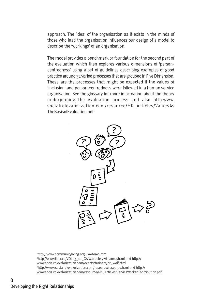approach. The 'idea' of the organisation as it exists in the minds of those who lead the organisation influences our design of a model to describe the 'workings' of an organisation.

The model provides a benchmark or foundation for the second part of the evaluation which then explores various dimensions of 'personcentredness' using a set of guidelines describing examples of good practice around 32 varied processes that are grouped in Five Dimension. These are the processes that might be expected if the values of 'inclusion' and person-centredness were followed in a human service organisation. See the glossary for more information about the theory underpinning the evaluation process and also http:www. socialrolevalorization.com/resource/MK\_Articles/ValuesAs TheBasisofEvaluation.pdf



1 http://www.communityliving.org.uk/obrien.htm 2 http://www.ijdcr.ca/VOL03\_01\_CAN/articles/williams.shtml and http:// www.socialrolevalorization.com/events/trainers/dr\_wolf.html 3 http://www.socialrolevalorization.com/resource/resource.html and http:// www.socialrolevalorization.com/resource/MK\_Articles/ServiceWorkerContribution.pdf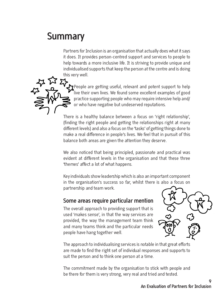# **Summary**

Partners for Inclusion is an organisation that actually does what it says it does. It provides person-centred support and services to people to help towards a more inclusive life. It is striving to provide unique and individualised supports that keep the person at the centre and is doing this very well.



There is a healthy balance between a focus on 'right relationship', (finding the right people and getting the relationships right at many different levels) and also a focus on the 'tasks' of getting things done to make a real difference in people's lives. We feel that in pursuit of this balance both areas are given the attention they deserve.

We also noticed that being principled, passionate and practical was evident at different levels in the organisation and that these three 'themes' affect a lot of what happens.

Key individuals show leadership which is also an important component in the organisation's success so far, whilst there is also a focus on partnership and team work.

### **Some areas require particular mention**

The overall approach to providing support that is used 'makes sense', in that the way services are provided, the way the management team think and many teams think and the particular needs people have hang together well.



The approach to individualising services is notable in that great efforts are made to find the right set of individual responses and supports to suit the person and to think one person at a time.

The commitment made by the organisation to stick with people and be there for them is very strong, very real and tried and tested.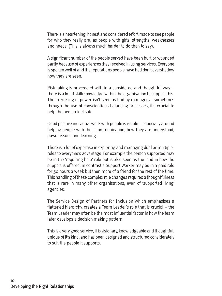There is a heartening, honest and considered effort made to see people for who they really are, as people with gifts, strengths, weaknesses and needs. (This is always much harder to do than to say).

A significant number of the people served have been hurt or wounded partly because of experiences they received in using services. Everyone is spoken well of and the reputations people have had don't overshadow how they are seen.

Risk taking is proceeded with in a considered and thoughtful way – there is a lot of skill/knowledge within the organisation to support this. The exercising of power isn't seen as bad by managers - sometimes through the use of conscientious balancing processes, it's crucial to help the person feel safe.

Good positive individual work with people is visible – especially around helping people with their communication, how they are understood, power issues and learning.

There is a lot of expertise in exploring and managing dual or multipleroles to everyone's advantage. For example the person supported may be in the 'requiring help' role but is also seen as the lead in how the support is offered, in contrast a Support Worker may be in a paid role for 30 hours a week but then more of a friend for the rest of the time. This handling of these complex role changes requires a thoughtfulness that is rare in many other organisations, even of 'supported living' agencies.

The Service Design of Partners for Inclusion which emphasises a flattened hierarchy, creates a Team Leader's role that is crucial – the Team Leader may often be the most influential factor in how the team later develops a decision making pattern

This is a very good service, it is visionary, knowledgeable and thoughtful, unique of it's kind, and has been designed and structured considerately to suit the people it supports.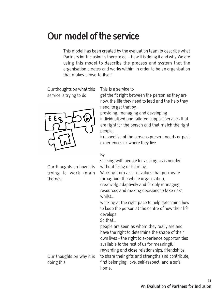# **Our model of the service**

This model has been created by the evaluation team to describe what Partners for Inclusion is there to do – how it is doing it and why. We are using this model to describe the process and system that the organisation creates and works within; in order to be an organisation that makes-sense-to-itself.

Our thoughts on what this service is trying to do



Our thoughts on how it is trying to work (main themes)

This is a service to

get the fit right between the person as they are now, the life they need to lead and the help they need, to get that by...

providing, managing and developing individualised and tailored support services that are right for the person and that match the right people,

irrespective of the persons present needs or past experiences or where they live.

#### By

sticking with people for as long as is needed without fixing or blaming.

Working from a set of values that permeate throughout the whole organisation, creatively, adaptively and flexibly managing resources and making decisions to take risks

working at the right pace to help determine how to keep the person at the centre of how their life develops.

So that...

whilst...

people are seen as whom they really are and have the right to determine the shape of their own lives - the right to experience opportunities available to the rest of us for meaningful rewarding and close relationships, friendships,

Our thoughts on why it is doing this

to share their gifts and strengths and contribute, find belonging, love, self-respect, and a safe home.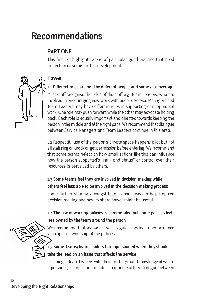# **Recommendations**

# **PART ONE**

This first list highlights areas of particular good practice that need protection or some further development.

## **Power**

#### **1.1 Different roles are held by different people and some also overlap**

Most staff recognise the roles of the staff e.g. Team Leaders, who are involved in encouraging new work with people. Service Managers and Team Leaders may have different roles in supporting developmental work. One role may push forward while the other may advocate holding back. Each role is equally important and directed towards keeping the person in the middle and at the right pace. We recommend that dialogue between Service Managers and Team Leaders continue in this area.

1.2 Respectful use of the person's private space happens a lot but not all staff ring or knock or get permission before entering. We recommend that some teams reflect on how small actions like this can influence how the person supported's "rank and status" or control over their resources, is perceived by others.

## **1.3 Some teams feel they are involved in decision making while others feel less able to be involved in the decision making process**

Some further sharing amongst teams about ways to help improve decision making and how to share power might be useful.

## **1.4 The use of working policies is commended but some policies feel less owned by the team around the person**

We recommend that as part of your regular checks on performance you explore ownership of the policies.

# **1.5 Some Teams/Team Leaders have questioned when they should take the lead on an issue that affects the service**

Listening to Team Leaders with their on-the-ground knowledge of where a person is, is important and does happen. Further dialogue between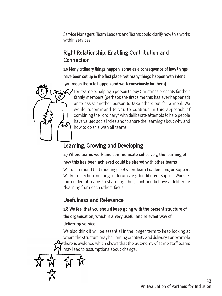Service Managers, Team Leaders and Teams could clarify how this works within services.

# **Right Relationship: Enabling Contribution and Connection**

**1.6 Many ordinary things happen, some as a consequence of how things have been set up in the first place, yet many things happen with intent (you mean them to happen and work consciously for them)**



For example, helping a person to buy Christmas presents for their family members (perhaps the first time this has ever happened) or to assist another person to take others out for a meal. We would recommend to you to continue in this approach of combining the "ordinary" with deliberate attempts to help people have valued social roles and to share the learning about why and how to do this with all teams.

# **Learning, Growing and Developing**

**1.7 Where teams work and communicate cohesively, the learning of how this has been achieved could be shared with other teams**

We recommend that meetings between Team Leaders and/or Support Worker reflection meetings or forums (e.g. for different Support Workers from different teams to share together) continue to have a deliberate "learning from each other" focus.

# **Usefulness and Relevance**

**1.8 We feel that you should keep going with the present structure of the organisation, which is a very useful and relevant way of delivering service**

We also think it will be essential in the longer term to keep looking at where the structure may be limiting creativity and delivery. For example  $\mathbf r$  there is evidence which shows that the autonomy of some staff teams may lead to assumptions about change.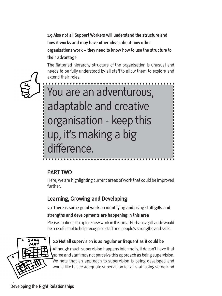**1.9 Also not all Support Workers will understand the structure and how it works and may have other ideas about how other organisations work – they need to know how to use the structure to their advantage**

The flattened hierarchy structure of the organisation is unusual and needs to be fully understood by all staff to allow them to explore and extend their roles.

You are an adventurous, adaptable and creative organisation - keep this up, it's making a big difference.

# **PART TWO**

Here, we are highlighting current areas of work that could be improved further.

# **Learning, Growing and Developing**

## **2.1 There is some good work on identifying and using staff gifts and strengths and developments are happening in this area**

Please continue to explore new work in this area. Perhaps a gift audit would be a useful tool to help recognise staff and people's strengths and skills.



#### **2.2 Not all supervision is as regular or frequent as it could be**

Although much supervision happens informally, it doesn't have that name and staff may not perceive this approach as being supervision. We note that an approach to supervision is being developed and would like to see adequate supervision for all staff using some kind

**Developing the Right Relationships**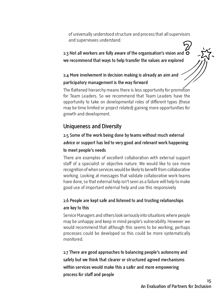of universally understood structure and process that all supervisors and supervisees understand.

**2.3 Not all workers are fully aware of the organisation's vision and we recommend that ways to help transfer the values are explored**

## **2.4 More involvement in decision making is already an aim and participatory management is the way forward**

The flattened hierarchy means there is less opportunity for promotion for Team Leaders. So we recommend that Team Leaders have the opportunity to take on developmental roles of different types (these may be time limited or project related) gaining more opportunities for growth and development.

# **Uniqueness and Diversity**

## **2.5 Some of the work being done by teams without much external advice or support has led to very good and relevant work happening to meet people's needs**

There are examples of excellent collaboration with external support staff of a specialist or objective nature. We would like to see more recognition of when services would be likely to benefit from collaborative working. Looking at messages that validate collaborative work teams have done, so that external help isn't seen as a failure will help to make good use of important external help and use this responsively.

### **2.6 People are kept safe and listened to and trusting relationships are key to this**

Service Managers and others look seriously into situations where people may be unhappy and keep in mind people's vulnerability. However we would recommend that although this seems to be working, perhaps processes could be developed so this could be more systematically monitored.

**2.7 There are good approaches to balancing people's autonomy and safety but we think that clearer or structured agreed mechanisms within services would make this a safer and more empowering process for staff and people**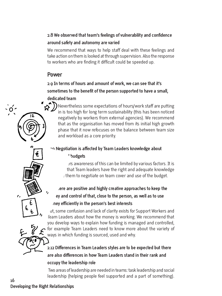### **2.8 We observed that team's feelings of vulnerability and confidence around safety and autonomy are varied**

We recommend that ways to help staff deal with these feelings and take action on them is looked at through supervision. Also the response to workers who are finding it difficult could be speeded up.

## **Power**

### **2.9 In terms of hours and amount of work, we can see that it's sometimes to the benefit of the person supported to have a small, dedicated team**

Nevertheless some expectations of hours/work staff are putting in is too high for long term sustainability (this has been noticed negatively by workers from external agencies). We recommend that as the organisation has moved from its initial high growth phase that it now refocuses on the balance between team size and workload as a core priority.

# **2.10 Negotiation is affected by Team Leaders knowledge about budgets**

Team Leaders awareness of this can be limited by various factors. It is that Team leaders have the right and adequate knowledge  $t$  them to negotiate on team cover and use of the budget.

# **2.11 There are positive and highly creative approaches to keep the money and control of that, close to the person, as well as to use money efficiently in the person's best interests**

But, some confusion and lack of clarity exists for Support Workers and Team Leaders about how the money is working. We recommend that you develop ways to explain how funding is managed and controlled, for example Team Leaders need to know more about the variety of ways in which funding is sourced, used and why.

# **2.12 Differences in Team Leaders styles are to be expected but there are also differences in how Team Leaders stand in their rank and occupy the leadership role**

Two areas of leadership are needed in teams: task leadership and social leadership (helping people feel supported and a part of something).

# **Developing the Right Relationships**

**16**

 $\mathbf{r}$ 

 $\mathsf{O}^{\mathsf{2}}$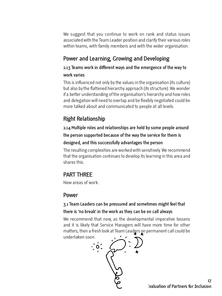We suggest that you continue to work on rank and status issues associated with the Team Leader position and clarify their various roles within teams, with family members and with the wider organisation.

# **Power and Learning, Growing and Developing**

# **2.13 Teams work in different ways and the emergence of the way to**

### **work varies**

This is influenced not only by the values in the organisation (its culture) but also by the flattened hierarchy approach (its structure). We wonder if a better understanding of the organisation's hierarchy and how roles and delegation will need to overlap and be flexibly negotiated could be more talked about and communicated to people at all levels.

# **Right Relationship**

## **2.14 Multiple roles and relationships are held by some people around the person supported because of the way the service for them is designed, and this successfully advantages the person**

The resulting complexities are worked with sensitively. We recommend that the organisation continues to develop its learning in this area and shares this.

# **PART THREE**

New areas of work.

## **Power**

### **3.1 Team Leaders can be pressured and sometimes might feel that there is 'no break' in the work as they can be on call always**

We recommend that now, as the developmental imperative lessens and it is likely that Service Managers will have more time for other matters, then a fresh look at Team Leaders on permanent call could be undertaken soon.

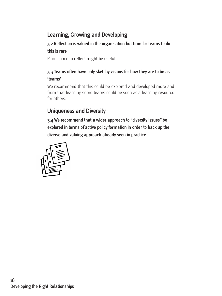# **Learning, Growing and Developing**

## **3.2 Reflection is valued in the organisation but time for teams to do**

#### **this is rare**

More space to reflect might be useful.

#### **3.3 Teams often have only sketchy visions for how they are to be as 'teams'**

We recommend that this could be explored and developed more and from that learning some teams could be seen as a learning resource for others.

# **Uniqueness and Diversity**

**3.4 We recommend that a wider approach to "diversity issues" be explored in terms of active policy formation in order to back up the diverse and valuing approach already seen in practice**

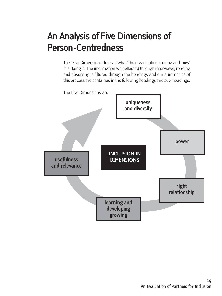# **An Analysis of Five Dimensions of Person-Centredness**

The "Five Dimensions" look at 'what' the organisation is doing and 'how' it is doing it. The information we collected through interviews, reading and observing is filtered through the headings and our summaries of this process are contained in the following headings and sub-headings.

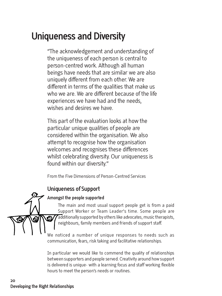# **Uniqueness and Diversity**

"The acknowledgement and understanding of the uniqueness of each person is central to person-centred work. Although all human beings have needs that are similar we are also uniquely different from each other. We are different in terms of the qualities that make us who we are. We are different because of the life experiences we have had and the needs, wishes and desires we have.

This part of the evaluation looks at how the particular unique qualities of people are considered within the organisation. We also attempt to recognise how the organisation welcomes and recognises these differences whilst celebrating diversity. Our uniqueness is found within our diversity."

From the Five Dimensions of Person-Centred Services

# **Uniqueness of Support**

#### **Amongst the people supported**

The main and most usual support people get is from a paid Support Worker or Team Leader's time. Some people are additionally supported by others like advocates, music therapists, neighbours, family members and friends of support staff.

We noticed a number of unique responses to needs such as communication, fears, risk taking and facilitative relationships.

In particular we would like to commend the quality of relationships between supporters and people served. Creativity around how support is delivered is unique- with a learning focus and staff working flexible hours to meet the person's needs or routines.

**O**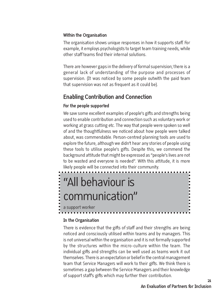#### **Within the Organisation**

The organisation shows unique responses in how it supports staff. For example, it employs psychologists to target team training needs, while other staff teams find their internal solutions.

There are however gaps in the delivery of formal supervision; there is a general lack of understanding of the purpose and processes of supervision. (It was noticed by some people outwith the paid team that supervision was not as frequent as it could be).

# **Enabling Contribution and Connection**

#### **For the people supported**

We saw some excellent examples of people's gifts and strengths being used to enable contribution and connection such as voluntary work or working at grass cutting etc. The way that people were spoken so well of and the thoughtfulness we noticed about how people were talked about, was commendable. Person-centred planning tools are used to explore the future, although we didn't hear any stories of people using these tools to utilise people's gifts. Despite this, we commend the background attitude that might be expressed as "people's lives are not to be wasted and everyone is needed". With this attitude, it is more likely people will be connected into their community.

# "All behaviour is ------communication"

a support worker

#### **In the Organisation**

There is evidence that the gifts of staff and their strengths are being noticed and consciously utilised within teams and by managers. This is not universal within the organisation and it is not formally supported by the structures within the micro-culture within the team. The individual gifts and strengths can be well used as teams work it out themselves. There is an expectation or belief in the central management team that Service Managers will work to their gifts. We think there is sometimes a gap between the Service Managers and their knowledge of support staff's gifts which may further their contribution.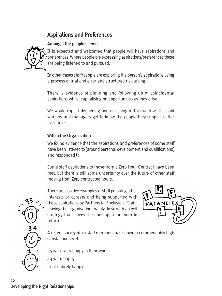# **Aspirations and Preferences**

#### **Amongst the people served**



It is expected and welcomed that people will have aspirations and preferences. Where people are expressing aspirations/preferences these are being listened to and pursued.

In other cases staff/people are exploring the person's aspirations using a process of trial and error and structured risk taking.

There is evidence of planning and following up of coincidental aspirations whilst capitalising on opportunities as they arise.

We would expect deepening and enriching of this work as the paid workers and managers get to know the people they support better over time.

#### **Within the Organisation**

We found evidence that the aspirations and preferences of some staff have been listened to (around personal development and qualifications) and responded to.

Some staff aspirations to move from a Zero Hour Contract have been met, but there is still some uncertainty over the future of other staff moving from Zero contracted hours.

There are positive examples of staff pursuing other interests or careers and being supported with these aspirations by Partners for Inclusion. "Staff" leaving the organisation mainly do so with an exit strategy that leaves the door open for them to return.



A recent survey of 70 staff members has shown a commendably high satisfaction level:

• 35 were very happy in their work

- 34 were happy
- 1 not entirely happy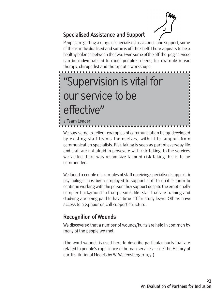

# **Specialised Assistance and Support**

People are getting a range of specialised assistance and support, some of this is individualised and some is off the shelf. There appears to be a healthy balance between the two. Even some of the off-the-peg services can be individualised to meet people's needs, for example music therapy, chiropodist and therapeutic workshops.

# "Supervision is vital for **.....** our service to be effective" a Team Leader

We saw some excellent examples of communication being developed by existing staff teams themselves, with little support from communication specialists. Risk taking is seen as part of everyday life and staff are not afraid to persevere with risk-taking. In the services we visited there was responsive tailored risk-taking this is to be commended.

We found a couple of examples of staff receiving specialised support. A psychologist has been employed to support staff to enable them to continue working with the person they support despite the emotionally complex background to that person's life. Staff that are training and studying are being paid to have time off for study leave. Others have access to a 24 hour on call support structure.

# **Recognition of Wounds**

We discovered that a number of wounds/hurts are held in common by many of the people we met.

(The word wounds is used here to describe particular hurts that are related to people's experience of human services – see The History of our Institutional Models by W. Wolfensberger 1971)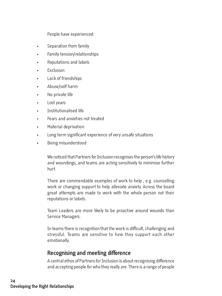People have experienced:

- Separation from family
- Family tension/relationships
- Reputations and labels
- **Fxclusion**
- Lack of friendships
- Abuse/self harm
- No private life
- Lost years
- Institutionalised life
- Fears and anxieties not treated
- Material deprivation
- Long term significant experience of very unsafe situations
- Being misunderstood

We noticed that Partners for Inclusion recognises the person's life history and woundings, and teams are acting sensitively to minimise further hurt.

There are commendable examples of work to help , e.g. counselling work or changing support to help alleviate anxiety. Across the board great attempts are made to work with the whole person not their reputations or labels.

Team Leaders are more likely to be proactive around wounds than Service Managers.

In teams there is recognition that the work is difficult, challenging and stressful. Teams are sensitive to how they support each other emotionally.

# **Recognising and meeting difference**

A central ethos of Partners for Inclusion is about recognising difference and accepting people for who they really are. There is a range of people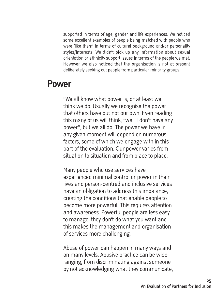supported in terms of age, gender and life experiences. We noticed some excellent examples of people being matched with people who were 'like them' in terms of cultural background and/or personality styles/interests. We didn't pick up any information about sexual orientation or ethnicity support issues in terms of the people we met. However we also noticed that the organisation is not at present deliberately seeking out people from particular minority groups.

# **Power**

"We all know what power is, or at least we think we do. Usually we recognise the power that others have but not our own. Even reading this many of us will think, "well I don't have any power", but we all do. The power we have in any given moment will depend on numerous factors, some of which we engage with in this part of the evaluation. Our power varies from situation to situation and from place to place.

Many people who use services have experienced minimal control or power in their lives and person-centred and inclusive services have an obligation to address this imbalance, creating the conditions that enable people to become more powerful. This requires attention and awareness. Powerful people are less easy to manage, they don't do what you want and this makes the management and organisation of services more challenging.

Abuse of power can happen in many ways and on many levels. Abusive practice can be wide ranging, from discriminating against someone by not acknowledging what they communicate,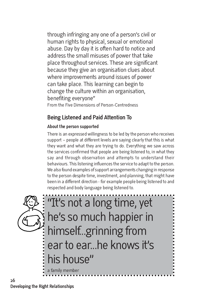through infringing any one of a person's civil or human rights to physical, sexual or emotional abuse. Day by day it is often hard to notice and address the small misuses of power that take place throughout services. These are significant because they give an organisation clues about where improvements around issues of power can take place. This learning can begin to change the culture within an organisation, benefiting everyone" From the Five Dimensions of Person-Centredness

# **Being Listened and Paid Attention To**

### **About the person supported**

There is an expressed willingness to be led by the person who receives support – people at different levels are saying clearly that this is what they want and what they are trying to do. Everything we saw across the services confirmed that people are being listened to, in what they say and through observation and attempts to understand their behaviours. This listening influences the service to adapt to the person. We also found examples of support arrangements changing in response to the person despite time, investment, and planning, that might have been in a different direction - for example people being listened to and respected and body language being listened to.

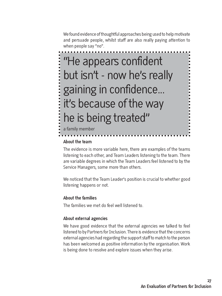We found evidence of thoughtful approaches being used to help motivate and persuade people, whilst staff are also really paying attention to when people say "no".

# "He appears confident but isn't - now he's really gaining in confidence... it's because of the way he is being treated"

a family member

#### **About the team**

The evidence is more variable here, there are examples of the teams listening to each other, and Team Leaders listening to the team. There are variable degrees in which the Team Leaders feel listened to by the Service Managers, some more than others.

We noticed that the Team Leader's position is crucial to whether good listening happens or not.

#### **About the families**

The families we met do feel well listened to.

#### **About external agencies**

We have good evidence that the external agencies we talked to feel listened to by Partners for Inclusion. There is evidence that the concerns external agencies had regarding the support staff to match to the person has been welcomed as positive information by the organisation. Work is being done to resolve and explore issues when they arise.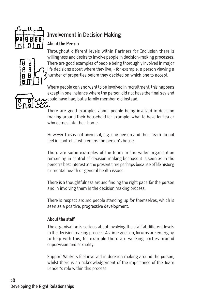

# **Involvement in Decision Making**

#### **About the Person**



Throughout different levels within Partners for Inclusion there is willingness and desire to involve people in decision-making processes. There are good examples of people being thoroughly involved in major life decisions about where they live, - for example, a person viewing a number of properties before they decided on which one to accept.

Where people can and want to be involved in recruitment, this happens except in one instance where the person did not have the final say and could have had, but a family member did instead.

There are good examples about people being involved in decision making around their household for example: what to have for tea or who comes into their home.

However this is not universal, e.g. one person and their team do not feel in control of who enters the person's house.

There are some examples of the team or the wider organisation remaining in control of decision making because it is seen as in the person's best interest at the present time perhaps because of life history, or mental health or general health issues.

There is a thoughtfulness around finding the right pace for the person and in involving them in the decision making process.

There is respect around people standing up for themselves, which is seen as a positive, progressive development.

#### **About the staff**

The organisation is serious about involving the staff at different levels in the decision making process. As time goes on, forums are emerging to help with this, for example there are working parties around supervision and sexuality.

Support Workers feel involved in decision making around the person, whilst there is an acknowledgement of the importance of the Team Leader's role within this process.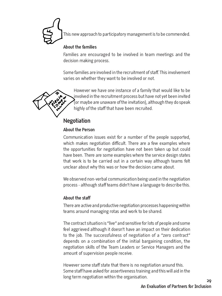

This new approach to participatory management is to be commended.

#### **About the families**

Families are encouraged to be involved in team meetings and the decision making process.

Some families are involved in the recruitment of staff. This involvement varies on whether they want to be involved or not.



However we have one instance of a family that would like to be involved in the recruitment process but have not yet been invited (or maybe are unaware of the invitation), although they do speak highly of the staff that have been recruited.

# **Negotiation**

#### **About the Person**

Communication issues exist for a number of the people supported, which makes negotiation difficult. There are a few examples where the opportunities for negotiation have not been taken up but could have been. There are some examples where the service design states that work is to be carried out in a certain way although teams felt unclear about why this was or how the decision came about.

We observed non-verbal communication being used in the negotiation process - although staff teams didn't have a language to describe this.

#### **About the staff**

There are active and productive negotiation processes happening within teams around managing rotas and work to be shared.

The contract situation is "live" and sensitive for lots of people and some feel aggrieved although it doesn't have an impact on their dedication to the job. The successfulness of negotiation of a "zero contract" depends on a combination of the initial bargaining condition, the negotiation skills of the Team Leaders or Service Managers and the amount of supervision people receive.

However some staff state that there is no negotiation around this. Some staff have asked for assertiveness training and this will aid in the long term negotiation within the organisation.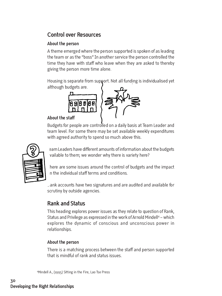# **Control over Resources**

#### **About the person**

A theme emerged where the person supported is spoken of as leading the team or as the "boss" In another service the person controlled the time they have with staff who leave when they are asked to thereby giving the person more time alone.

Housing is separate from support. Not all funding is individualised yet although budgets are.



#### **About the staff**

Budgets for people are controlled on a daily basis at Team Leader and team level. For some there may be set available weekly expenditures with agreed authority to spend so much above this.



eam Leaders have different amounts of information about the budgets vailable to them; we wonder why there is variety here?

here are some issues around the control of budgets and the impact on the individual staff terms and conditions.

 $\Delta$ ank accounts have two signatures and are audited and available for scrutiny by outside agencies.

# **Rank and Status**

This heading explores power issues as they relate to question of Rank, Status and Privilege as expressed in the work of Arnold Mindell<sup>4</sup> – which explores the dynamic of conscious and unconscious power in relationships.

#### **About the person**

There is a matching process between the staff and person supported that is mindful of rank and status issues.

4 Mindell A., (1995) Sitting in the Fire, Lao Tse Press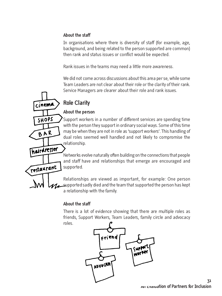#### **About the staff**

In organisations where there is diversity of staff (for example, age, background, and being related to the person supported are common) then rank and status issues or conflict would be expected.

Rank issues in the teams may need a little more awareness.

We did not come across discussions about this area per se, while some Team Leaders are not clear about their role or the clarity of their rank. Service Managers are clearer about their role and rank issues.

# **Role Clarity**

cinema

SHOPS

BAR

hairdresser

restaurant

#### **About the person**

Support workers in a number of different services are spending time with the person they support in ordinary social ways. Some of this time may be when they are not in role as 'support workers'. This handling of dual roles seemed well handled and not likely to compromise the relationship.

Networks evolve naturally often building on the connections that people and staff have and relationships that emerge are encouraged and supported.

Relationships are viewed as important, for example: One person  $\mathcal{U}$  supported sadly died and the team that supported the person has kept a relationship with the family.

#### **About the staff**

There is a lot of evidence showing that there are multiple roles as friends, Support Workers, Team Leaders, family circle and advocacy roles.

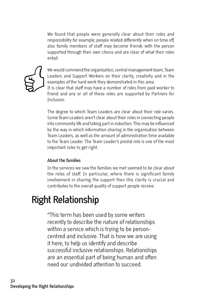We found that people were generally clear about their roles and responsibility for example; people related differently when on time off, also family members of staff may become friends with the person supported through their own choice and are clear of what their roles entail.



We would commend the organisation, central management team, Team Leaders and Support Workers on their clarity, creativity and in the examples of the hard work they demonstrated in this area.

It is clear that staff may have a number of roles from paid worker to friend and any or all of these roles are supported by Partners for Inclusion.

The degree to which Team Leaders are clear about their role varies. Some Team Leaders aren't clear about their roles in connecting people into community life and taking part in induction. This may be influenced by the way in which information sharing in the organisation between Team Leaders, as well as the amount of administration time available to the Team Leader. The Team Leader's pivotal role is one of the most important roles to get right.

#### **About the families**

In the services we saw the families we met seemed to be clear about the roles of staff. In particular, where there is significant family involvement in sharing the support then this clarity is crucial and contributes to the overall quality of support people receive.

# **Right Relationship**

"This term has been used by some writers recently to describe the nature of relationships within a service which is trying to be personcentred and inclusive. That is how we are using it here, to help us identify and describe successful inclusive relationships. Relationships are an essential part of being human and often need our undivided attention to succeed.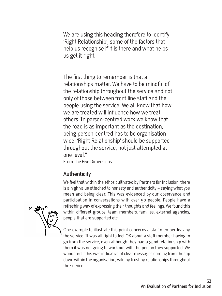We are using this heading therefore to identify 'Right Relationship'; some of the factors that help us recognise if it is there and what helps us get it right.

The first thing to remember is that all relationships matter. We have to be mindful of the relationship throughout the service and not only of those between front line staff and the people using the service. We all know that how we are treated will influence how we treat others. In person-centred work we know that the road is as important as the destination, being person-centred has to be organisation wide. 'Right Relationship' should be supported throughout the service, not just attempted at one level."

From The Five Dimensions

# **Authenticity**

We feel that within the ethos cultivated by Partners for Inclusion, there is a high value attached to honesty and authenticity – saying what you mean and being clear. This was evidenced by our observance and participation in conversations with over 50 people. People have a refreshing way of expressing their thoughts and feelings. We found this within different groups, team members, families, external agencies, people that are supported etc.



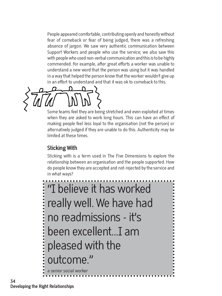People appeared comfortable, contributing openly and honestly without fear of comeback or fear of being judged, there was a refreshing absence of jargon. We saw very authentic communication between Support Workers and people who use the service; we also saw this with people who used non-verbal communication and this is to be highly commended. For example, after great efforts a worker was unable to understand a new word that the person was using but it was handled in a way that helped the person know that the worker wouldn't give up in an effort to understand and that it was ok to comeback to this.

Some teams feel they are being stretched and even exploited at times when they are asked to work long hours. This can have an effect of making people feel less loyal to the organisation (not the person) or alternatively judged if they are unable to do this. Authenticity may be limited at these times.

# **Sticking With**

Sticking with is a term used in The Five Dimensions to explore the relationship between an organisation and the people supported. How do people know they are accepted and not-rejected by the service and in what ways?

"I believe it has worked . . . . . . . . . . . . . . . . . . really well. We have had no readmissions - it's been excellent...I am pleased with the outcome." a senior social worker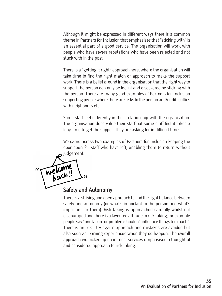Although it might be expressed in different ways there is a common theme in Partners for Inclusion that emphasises that "sticking with" is an essential part of a good service. The organisation will work with people who have severe reputations who have been rejected and not stuck with in the past.

There is a "getting it right" approach here, where the organisation will take time to find the right match or approach to make the support work. There is a belief around in the organisation that the right way to support the person can only be learnt and discovered by sticking with the person. There are many good examples of Partners for Inclusion supporting people where there are risks to the person and/or difficulties with neighbours etc.

Some staff feel differently in their relationship with the organisation. The organisation does value their staff but some staff feel it takes a long time to get the support they are asking for in difficult times.

We came across two examples of Partners for Inclusion keeping the door open for staff who have left, enabling them to return without judgement.



# **Safety and Autonomy**

There is a striving and open approach to find the right balance between safety and autonomy (or what's important to the person and what's important for them). Risk taking is approached carefully whilst not discouraged and there is a favoured attitude to risk taking, for example people say "one failure or problem shouldn't influence things too much". There is an "ok - try again" approach and mistakes are avoided but also seen as learning experiences when they do happen. The overall approach we picked up on in most services emphasised a thoughtful and considered approach to risk taking.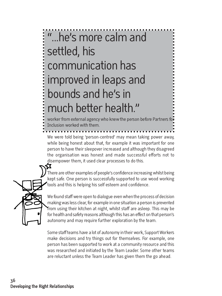# "...he's more calm and settled, his communication has improved in leaps and bounds and he's in much better health."

worker from external agency who knew the person before Partners for Inclusion worked with them.

We were told being 'person-centred' may mean taking power away, while being honest about that, for example it was important for one person to have their sleepover increased and although they disagreed the organisation was honest and made successful efforts not to disempower them, it used clear processes to do this.



There are other examples of people's confidence increasing whilst being kept safe. One person is successfully supported to use wood working tools and this is helping his self esteem and confidence.

We found staff were open to dialogue even when the process of decision making was less clear, for example in one situation a person is prevented from using their kitchen at night, whilst staff are asleep. This may be for health and safety reasons although this has an effect on that person's autonomy and may require further exploration by the team.

Some staff teams have a lot of autonomy in their work, Support Workers make decisions and try things out for themselves. For example, one person has been supported to work at a community resource and this was researched and initiated by the Team Leader. Some other teams are reluctant unless the Team Leader has given them the go ahead.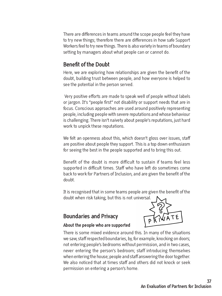There are differences in teams around the scope people feel they have to try new things; therefore there are differences in how safe Support Workers feel to try new things. There is also variety in teams of boundary setting by managers about what people can or cannot do.

# **Benefit of the Doubt**

Here, we are exploring how relationships are given the benefit of the doubt, building trust between people, and how everyone is helped to see the potential in the person served.

Very positive efforts are made to speak well of people without labels or jargon. It's "people first" not disability or support needs that are in focus. Conscious approaches are used around positively representing people, including people with severe reputations and whose behaviour is challenging. There isn't naivety about people's reputations, just hard work to unpick these reputations.

We felt an openness about this, which doesn't gloss over issues, staff are positive about people they support. This is a top down enthusiasm for seeing the best in the people supported and to bring this out.

Benefit of the doubt is more difficult to sustain if teams feel less supported in difficult times. Staff who have left do sometimes come back to work for Partners of Inclusion, and are given the benefit of the doubt.

It is recognised that in some teams people are given the benefit of the doubt when risk taking, but this is not universal.

# **Boundaries and Privacy**



#### **About the people who are supported**

There is some mixed evidence around this. In many of the situations we saw, staff respected boundaries, by, for example, knocking on doors; not entering people's bedrooms without permission, and in two cases, never entering the person's bedroom; staff introducing themselves when entering the house; people and staff answering the door together. We also noticed that at times staff and others did not knock or seek permission on entering a person's home.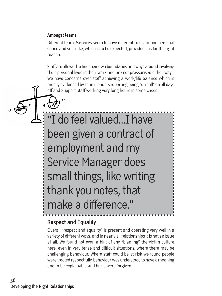#### **Amongst teams**

Different teams/services seem to have different rules around personal space and such like, which is to be expected, provided it is for the right reason.

Staff are allowed to find their own boundaries and ways around involving their personal lives in their work and are not pressurised either way. We have concerns over staff achieving a work/life balance which is mostly evidenced by Team Leaders reporting being "on call" on all days off and Support Staff working very long hours in some cases.

"I do feel valued...I have been given a contract of employment and my Service Manager does small things, like writing thank you notes, that make a difference."

## **Respect and Equality**

Overall "respect and equality" is present and operating very well in a variety of different ways, and in nearly all relationships it is not an issue at all. We found not even a hint of any "blaming" the victim culture here, even in very tense and difficult situations, where there may be challenging behaviour. Where staff could be at risk we found people were treated respectfully, behaviour was understood to have a meaning and to be explainable and hurts were forgiven.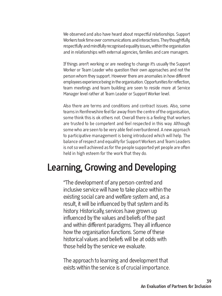We observed and also have heard about respectful relationships. Support Workers took time over communications and interactions. They thoughtfully, respectfully and mindfully recognised equality issues, within the organisation and in relationships with external agencies, families and care managers.

If things aren't working or are needing to change it's usually the Support Worker or Team Leader who question their own approaches and not the person whom they support. However there are anomalies in how different employees experience being in the organisation. Opportunities for reflection, team meetings and team building are seen to reside more at Service Manager level rather at Team Leader or Support Worker level.

Also there are terms and conditions and contract issues. Also, some teams in Renfrewshire feel far away from the centre of the organisation, some think this is ok others not. Overall there is a feeling that workers are trusted to be competent and feel respected in this way. Although some who are seen to be very able feel overburdened. A new approach to participative management is being introduced which will help. The balance of respect and equality for Support Workers and Team Leaders is not so well achieved as for the people supported yet people are often held in high esteem for the work that they do.

# **Learning, Growing and Developing**

"The development of any person-centred and inclusive service will have to take place within the existing social care and welfare system and, as a result, it will be influenced by that system and its history. Historically, services have grown up influenced by the values and beliefs of the past and within different paradigms. They all influence how the organisation functions. Some of these historical values and beliefs will be at odds with those held by the service we evaluate.

The approach to learning and development that exists within the service is of crucial importance.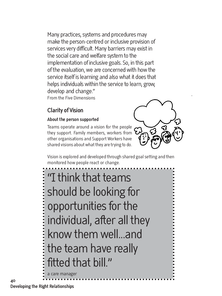Many practices, systems and procedures may make the person-centred or inclusive provision of services very difficult. Many barriers may exist in the social care and welfare system to the implementation of inclusive goals. So, in this part of the evaluation, we are concerned with how the service itself is learning and also what it does that helps individuals within the service to learn, grow, develop and change." From the Five Dimensions

# **Clarity of Vision**

#### **About the person supported**

Teams operate around a vision for the people they support. Family members, workers from other organisations and Support Workers have shared visions about what they are trying to do.



Vision is explored and developed through shared goal setting and then monitored how people react or change.

"I think that teams should be looking for opportunities for the ........ individual, after all they know them well...and the team have really fitted that bill."

a care manage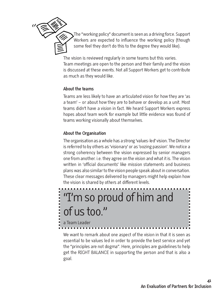

The "working policy" document is seen as a driving force. Support Workers are expected to influence the working policy (though some feel they don't do this to the degree they would like).

The vision is reviewed regularly in some teams but this varies. Team meetings are open to the person and their family and the vision is discussed at these events. Not all Support Workers get to contribute as much as they would like.

#### **About the teams**

Teams are less likely to have an articulated vision for how they are 'as a team' – or about how they are to behave or develop as a unit. Most teams didn't have a vision in fact. We heard Support Workers express hopes about team work for example but little evidence was found of teams working visionally about themselves.

#### **About the Organisation**

The organisation as a whole has a strong 'values-led' vision. The Director is referred to by others as 'visionary' or as 'oozing passion'. We notice a strong coherency between the vision expressed by senior managers one from another. i.e. they agree on the vision and what it is. The vision written in 'official documents' like mission statements and business plans was also similar to the vision people speak about in conversation. These clear messages delivered by managers might help explain how the vision is shared by others at different levels.



We want to remark about one aspect of the vision in that it is seen as essential to be values led in order to provide the best service and yet the "principles are not dogma". Here, principles are guidelines to help get the RIGHT BALANCE in supporting the person and that is also a goal.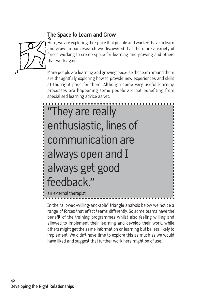# **The Space to Learn and Grow**



Here, we are exploring the space that people and workers have to learn and grow. In our research we discovered that there are a variety of forces working to create space for learning and growing and others that work against.

Many people are learning and growing because the team around them are thoughtfully exploring how to provide new experiences and skills at the right pace for them. Although some very useful learning processes are happening some people are not benefiting from specialised learning advice as yet.

"They are really . . . . . . . . . . . enthusiastic, lines of communication are always open and I always get good feedback." an external therapist

In the "allowed-willing-and-able" triangle analysis below we notice a range of forces that effect teams differently. So some teams have the benefit of the training programmes whilst also feeling willing and allowed to implement their learning and develop their work, while others might get the same information or learning but be less likely to implement. We didn't have time to explore this as much as we would have liked and suggest that further work here might be of use.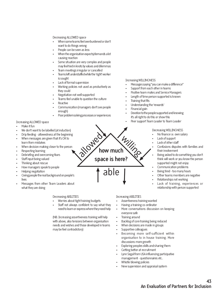#### Decreasing ALLOWED space

- When some teams feel overburdened or don't want to do things wrong
- People can be seen as less
- When the organisation expects/demands a lot causing reaction
- Some situation are very complex and people may feel tied in knots by values and dilemmas
- Team meetings irregular or cancelled
- Teams left understaffed while the 'right' worker is sought
- Lack of formal supervision
- Working policies not used as productively as they could
- Negotiation not well supported
- Teams feel unable to question the culture
- **Reactive**
- Communication (managers don't see people enough)
- Poor problem solving processes or experiences

**PMR** 

#### Increasing ALLOWED space

- Make it fun
- We don't want to be labelled (at induction)
- Drip feeding allowedness at the beginning
- When messages are given that it's OK to learn from mistakes
- When decision making closer to the person
- Respecting learning
- Debriefing and overcoming fears
- Staff input being valued
- Thinking about rescue
- How managers speak to people
- Helping negotiation
- Giving people the real background on people's lives
- Messages from other Team Leaders about what they are doing

#### Decreasing ABILITIES

- Worries about tight training budgets
- Staff not always confident to say what they need to learn or express where they need help

(NB. Increasing assertiveness training will help with above, also tensions between organisation needs and wishes and those developed in teams may be feel contradictory)

#### Increasing WILLINGNESS

- Messages saying "you can make a difference"
- Support from each other in teams
- Positive team mates and Service Managers
- Length of time person supported is known
- **Training that fits**
- Understanding the 'rewards'
- Financial gain
- Devotion to the people supported and knowing it's all right to do this or show this
- Peer support Team Leader to Team Leader

#### Decreasing WILLINGNESS

- No finance i.e. own salary
- Lack of support
- Lack of other staff
- Confusions disputes with families and their involvement
- Being asked to do something you don't think will work or you know the person supported might not enjoy
- Communication problems
- Being tired too many hours
- Other teams members are negative
- Relationships not working
- Lack of training, experiences or relationship with person supported

#### Increasing ABILITIES

able

**how much**

**space is here?**

Willing

- Assertiveness training wanted
- Having a training co-ordinator
- More conversations discussion on keeping everyone safe
- Training around
- Backlog of core training being reduced
- When decisions are made in groups
- Supportive colleagues
- Becoming more self-sufficient within organisation to in house training. More discussions more growth
- Exploring peoples skills and sharing them
- Getting better at recruitment
- Lynn Segal from USA influencing participative management - questionnaires etc..
- Whistle blowing policies
- New supervision and appraisal system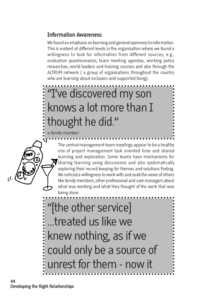# **Information Awareness**

We found an emphasis on learning and general openness to information. This is evident at different levels in the organisation where we found a willingness to look for information from different sources, e.g., evaluation questionnaires, team meeting agendas, working policy researches, world leaders and training courses and also through the ALTRUM network ( a group of organisations throughout the country who are learning about inclusion and supported living).

# "I've discovered my son knows a lot more than I thought he did."

a family member

The central management team meetings appear to be a healthy mix of project management task oriented time and shared learning and exploration. Some teams have mechanisms for  $\blacktriangledown$  sharing learning using discussions and also systematically exploring their record keeping for themes and solutions finding. We noticed a willingness to work with and seek the views of others like family members, other professional and care managers about what was working and what they thought of the work that was being done.

"[the other service] ...treated us like we knew nothing, as if we could only be a source of unrest for them - now it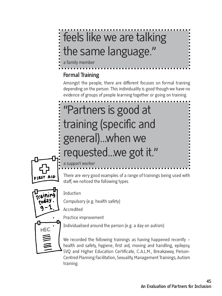# the star are talking the same language."

a family member

# **Formal Training**

Amongst the people, there are different focuses on formal training depending on the person. This individuality is good though we have no evidence of groups of people learning together or going on training.

# "Partners is good at training (specific and general)...when we requested...we got it."



a support wor

There are very good examples of a range of trainings being used with staff, we noticed the following types



**Induction** 

• Compulsory (e.g. health safety)

**Accredited** 

• Practice improvement

• Individualised around the person (e.g. a day on autism)

We recorded the following trainings as having happened recently – health and safety, hygiene, first aid, moving and handling, epilepsy, SVQ and Higher Education Certificate, C.A.L.M., Breakaway, Person-Centred Planning Facilitation, Sexuality, Management Trainings, Autism training.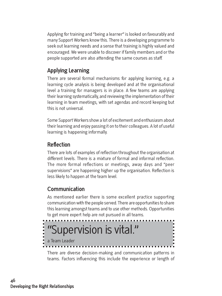Applying for training and "being a learner" is looked on favourably and many Support Workers know this. There is a developing programme to seek out learning needs and a sense that training is highly valued and encouraged. We were unable to discover if family members and or the people supported are also attending the same courses as staff.

# **Applying Learning**

There are several formal mechanisms for applying learning, e.g. a learning cycle analysis is being developed and at the organisational level a training for managers is in place. A few teams are applying their learning systematically, and reviewing the implementation of their learning in team meetings, with set agendas and record keeping but this is not universal.

Some Support Workers show a lot of excitement and enthusiasm about their learning and enjoy passing it on to their colleagues. A lot of useful learning is happening informally.

# **Reflection**

There are lots of examples of reflection throughout the organisation at different levels. There is a mixture of formal and informal reflection. The more formal reflections or meetings, away days and "peer supervisions" are happening higher up the organisation. Reflection is less likely to happen at the team level.

# **Communication**

As mentioned earlier there is some excellent practice supporting communication with the people served. There are opportunities to share this learning amongst teams and to use other methods. Opportunities to get more expert help are not pursued in all teams.



There are diverse decision-making and communication patterns in teams. Factors influencing this include the experience or length of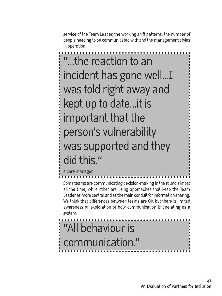service of the Team Leader, the working shift patterns, the number of people needing to be communicated with and the management styles in operation.

"...the reaction to an incident has gone well...I was told right away and kept up to date...it is important that the person's vulnerability was supported and they did this." a care manager

Some teams are communicating decision-making in the round almost all the time, while other are using approaches that keep the Team Leader as more central and as the main conduit for information sharing. We think that differences between teams are OK but there is limited awareness or exploration of how communication is operating as a system.

# "All behaviour is communication."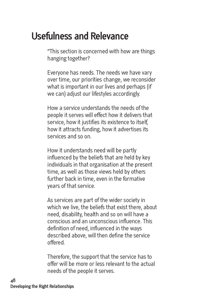# **Usefulness and Relevance**

"This section is concerned with how are things hanging together?

Everyone has needs. The needs we have vary over time, our priorities change, we reconsider what is important in our lives and perhaps (if we can) adjust our lifestyles accordingly.

How a service understands the needs of the people it serves will effect how it delivers that service, how it justifies its existence to itself, how it attracts funding, how it advertises its services and so on.

How it understands need will be partly influenced by the beliefs that are held by key individuals in that organisation at the present time, as well as those views held by others further back in time, even in the formative years of that service.

As services are part of the wider society in which we live, the beliefs that exist there, about need, disability, health and so on will have a conscious and an unconscious influence. This definition of need, influenced in the ways described above, will then define the service offered.

Therefore, the support that the service has to offer will be more or less relevant to the actual needs of the people it serves.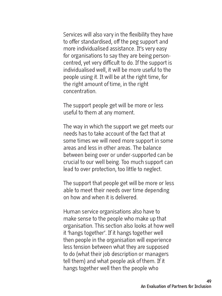Services will also vary in the flexibility they have to offer standardised, off the peg support and more individualised assistance. It's very easy for organisations to say they are being personcentred, yet very difficult to do. If the support is individualised well, it will be more useful to the people using it. It will be at the right time, for the right amount of time, in the right concentration.

The support people get will be more or less useful to them at any moment.

The way in which the support we get meets our needs has to take account of the fact that at some times we will need more support in some areas and less in other areas. The balance between being over or under-supported can be crucial to our well being. Too much support can lead to over protection, too little to neglect.

The support that people get will be more or less able to meet their needs over time depending on how and when it is delivered.

Human service organisations also have to make sense to the people who make up that organisation. This section also looks at how well it 'hangs together'. If it hangs together well then people in the organisation will experience less tension between what they are supposed to do (what their job description or managers tell them) and what people ask of them. If it hangs together well then the people who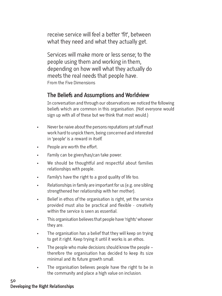receive service will feel a better 'fit', between what they need and what they actually get.

Services will make more or less sense; to the people using them and working in them, depending on how well what they actually do meets the real needs that people have. From the Five Dimensions

# **The Beliefs and Assumptions and Worldview**

In conversation and through our observations we noticed the following beliefs which are common in this organisation. (Not everyone would sign up with all of these but we think that most would.)

- Never be naive about the persons reputations yet staff must work hard to unpick them, being concerned and interested in 'people' is a reward in itself.
- People are worth the effort.
- Family can be given/has/can take power.
- We should be thoughtful and respectful about families relationships with people.
- Family's have the right to a good quality of life too.
- Relationships in family are important for us (e.g. one sibling strengthened her relationship with her mother).
- Belief in ethos of the organisation is right, yet the service provided must also be practical and flexible - creativity within the service is seen as essential.
- This organisation believes that people have 'rights' whoever they are.
- The organisation has a belief that they will keep on trying to get it right. Keep trying it until it works is an ethos.
- The people who make decisions should know the people therefore the organisation has decided to keep its size minimal and its future growth small.
- The organisation believes people have the right to be in the community and place a high value on inclusion.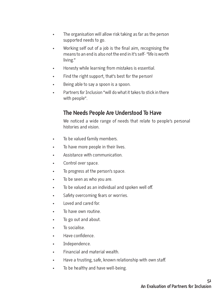- The organisation will allow risk taking as far as the person supported needs to go.
- Working self out of a job is the final aim, recognising the means to an end is also not the end in it's self- "life is worth living."
- Honesty while learning from mistakes is essential.
- Find the right support, that's best for the person!
- Being able to say a spoon is a spoon.
- Partners for Inclusion "will do what it takes to stick in there with people".

# **The Needs People Are Understood To Have**

We noticed a wide range of needs that relate to people's personal histories and vision.

- To be valued family members.
- To have more people in their lives.
- Assistance with communication.
- Control over space.
- To progress at the person's space.
- To be seen as who you are.
- To be valued as an individual and spoken well off.
- Safety overcoming fears or worries.
- Loved and cared for.
- To have own routine
- To go out and about.
- To socialise.
- Have confidence.
- Independence.
- Financial and material wealth.
- Have a trusting, safe, known relationship with own staff.
- To be healthy and have well-being.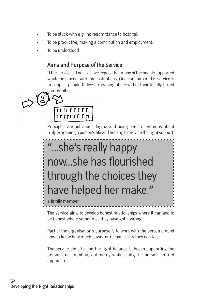- To be stuck with e.g., no readmittance to hospital.
- To be productive, making a contribution and employment.
- To be understood.

# **Aims and Purpose of the Service**

If the service did not exist we expect that many of the people supported would be placed back into institutions. One core aim of this service is to support people to live a meaningful life within their locally based communities.

 $I$ r  $I$ rr  $I$ r  $I$ r $I$ rr

Principles are not about dogma and being person-centred is about truly examining a person's life and helping to provide the right support.



The service aims to develop honest relationships where it can and to be honest where sometimes they have got it wrong.

Part of the organisation's purpose is to work with the person around how to know how much power or responsibility they can take.

The service aims to find the right balance between supporting the person and enabling, autonomy while using the person-centred approach.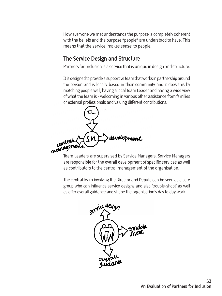How everyone we met understands the purpose is completely coherent with the beliefs and the purpose "people" are understood to have. This means that the service 'makes sense' to people.

# **The Service Design and Structure**

Partners for Inclusion is a service that is unique in design and structure.

It is designed to provide a supportive team that works in partnership around the person and is locally based in their community and it does this by matching people well, having a local Team Leader and having a wide view of what the team is - welcoming in various other assistance from families or external professionals and valuing different contributions.



Team Leaders are supervised by Service Managers. Service Managers are responsible for the overall development of specific services as well as contributors to the central management of the organisation.

The central team involving the Director and Depute can be seen as a core group who can influence service designs and also 'trouble-shoot' as well as offer overall guidance and shape the organisation's day to day work.

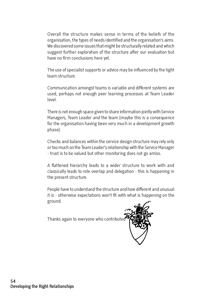Overall the structure makes sense in terms of the beliefs of the organisation, the types of needs identified and the organisation's aims. We discovered some issues that might be structurally related and which suggest further exploration of the structure after our evaluation but have no firm conclusions here yet.

The use of specialist supports or advice may be influenced by the tight team structure.

Communication amongst teams is variable and different systems are used, perhaps not enough peer learning processes at Team Leader level.

There is not enough space given to share information jointly with Service Managers, Team Leader and the team (maybe this is a consequence for the organisation having been very much in a development growth phase).

Checks and balances within the service design structure may rely only or too much on the Team Leader's relationship with the Service Manager - trust is to be valued but other monitoring does not go amiss.

A flattened hierarchy leads to a wider structure to work with and classically leads to role overlap and delegation - this is happening in the present structure.

People have to understand the structure and how different and unusual it is - otherwise expectations won't fit with what is happening on the ground.

Thanks again to everyone who contributed

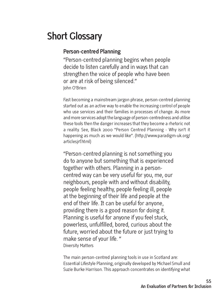# **Short Glossary**

## **Person-centred Planning**

"Person-centred planning begins when people decide to listen carefully and in ways that can strengthen the voice of people who have been or are at risk of being silenced." John O'Brien

Fast becoming a mainstream jargon phrase, person-centred planning started out as an active way to enable the increasing control of people who use services and their families in processes of change. As more and more services adopt the language of person-centredness and utilise these tools then the danger increases that they become a rhetoric not a reality. See, Black 2000 "Person Centred Planning - Why isn't it happening as much as we would like". (http://www.paradigm-uk.org/ articlesjrf.html)

"Person-centred planning is not something you do to anyone but something that is experienced together with others. Planning in a personcentred way can be very useful for you, me, our neighbours, people with and without disability, people feeling healthy, people feeling ill, people at the beginning of their life and people at the end of their life. It can be useful for anyone, providing there is a good reason for doing it. Planning is useful for anyone if you feel stuck, powerless, unfulfilled, bored, curious about the future, worried about the future or just trying to make sense of your life. " Diversity Matters

The main person-centred planning tools in use in Scotland are: Essential Lifestyle Planning, originally developed by Michael Smull and Suzie Burke Harrison. This approach concentrates on identifying what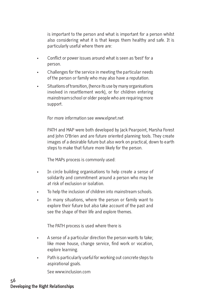is important to the person and what is important for a person whilst also considering what it is that keeps them healthy and safe. It is particularly useful where there are:

- Conflict or power issues around what is seen as 'best' for a person.
- Challenges for the service in meeting the particular needs of the person or family who may also have a reputation.
- Situations of transition, (hence its use by many organisations involved in resettlement work), or for children entering mainstream school or older people who are requiring more support.

For more information see www.elpnet.net

PATH and MAP were both developed by Jack Pearpoint, Marsha Forest and John O'Brien and are future oriented planning tools. They create images of a desirable future but also work on practical, down to earth steps to make that future more likely for the person.

The MAPs process is commonly used:

- In circle building organisations to help create a sense of solidarity and commitment around a person who may be at risk of exclusion or isolation.
- To help the inclusion of children into mainstream schools.
- In many situations, where the person or family want to explore their future but also take account of the past and see the shape of their life and explore themes.

The PATH process is used where there is

- A sense of a particular direction the person wants to take; like move house, change service, find work or vocation, explore learning.
- Path is particularly useful for working out concrete steps to aspirational goals.

See www.inclusion.com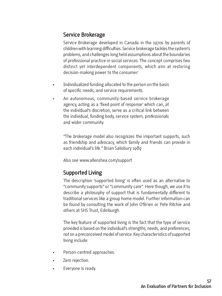# **Service Brokerage**

Service Brokerage developed in Canada in the 1970s by parents of children with learning difficulties. Service brokerage tackles the system's problems, and challenges long held assumptions about the boundaries of professional practice in social services. The concept comprises two distinct yet interdependent components, which aim at restoring decision-making power to the consumer:

- Individualized funding allocated to the person on the basis of specific needs, and service requirements.
- An autonomous, community-based service brokerage agency, acting as a 'fixed point of response' which can, at the individual's discretion, serve as a critical link between the individual, funding body, service system, professionals and wider community.

"The brokerage model also recognizes the important supports, such as friendship and advocacy, which family and friends can provide in each individual's life." Brian Salisbury 1989

Also see www.allenshea.com/support

# **Supported Living**

The description 'supported living' is often used as an alternative to "community supports" or "community care". Here though, we use it to describe a philosophy of support that is fundamentally different to traditional services like a group home model. Further information can be found by consulting the work of John O'Brien or Pete Ritchie and others at SHS Trust, Edinburgh.

The key feature of supported living is the fact that the type of service provided is based on the individual's strengths, needs, and preferences, not on a preconceived model of service. Key characteristics of supported living include:

- Person-centred approaches.
- Zero rejection.
- Everyone is ready.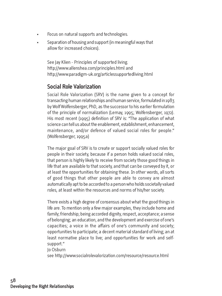- Focus on natural supports and technologies.
- Separation of housing and support (in meaningful ways that allow for increased choices).

See Jay Klien - Principles of supported living. http://www.allenshea.com/principles.html and http://www.paradigm-uk.org/articlessupportedliving.html

# **Social Role Valorization**

Social Role Valorization (SRV) is the name given to a concept for transacting human relationships and human service, formulated in 1983 by Wolf Wolfensberger, PhD, as the successor to his earlier formulation of the principle of normalization (Lemay, 1995; Wolfensberger, 1972). His most recent (1995) definition of SRV is: "The application of what science can tell us about the enablement, establishment, enhancement, maintenance, and/or defence of valued social roles for people." (Wolfensberger, 1995a)

The major goal of SRV is to create or support socially valued roles for people in their society, because if a person holds valued social roles, that person is highly likely to receive from society those good things in life that are available to that society, and that can be conveyed by it, or at least the opportunities for obtaining these. In other words, all sorts of good things that other people are able to convey are almost automatically apt to be accorded to a person who holds societally valued roles, at least within the resources and norms of his/her society.

There exists a high degree of consensus about what the good things in life are. To mention only a few major examples, they include home and family; friendship; being accorded dignity, respect, acceptance; a sense of belonging; an education, and the development and exercise of one's capacities; a voice in the affairs of one's community and society; opportunities to participate; a decent material standard of living; an at least normative place to live; and opportunities for work and selfsupport."

Jo Osburn

see http://www.socialrolevalorization.com/resource/resource.html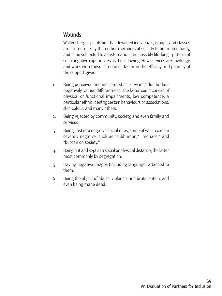## **Wounds**

Wolfensberger points out that devalued individuals, groups, and classes are far more likely than other members of society to be treated badly, and to be subjected to a systematic - and possibly life-long - pattern of such negative experiences as the following. How services acknowledge and work with these is a crucial factor in the efficacy and potency of the support given.

- 1. Being perceived and interpreted as "deviant," due to their negatively-valued differentness. The latter could consist of physical or functional impairments, low competence, a particular ethnic identity, certain behaviours or associations, skin colour, and many others.
- 2. Being rejected by community, society, and even family and services.
- 3. Being cast into negative social roles, some of which can be severely negative, such as "subhuman," "menace," and "burden on society."
- 4. Being put and kept at a social or physical distance, the latter most commonly by segregation.
- 5. Having negative images (including language) attached to them.
- 6. Being the object of abuse, violence, and brutalization, and even being made dead.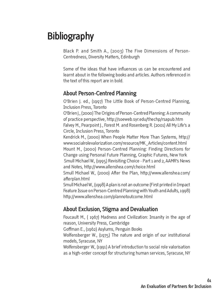# **Bibliography**

Black P. and Smith A., (2003) The Five Dimensions of Person-Centredness, Diversity Matters, Edinburgh

Some of the ideas that have influences us can be encountered and learnt about in the following books and articles. Authors referenced in the text of this report are in bold.

# **About Person-Centred Planning**

O'Brien J. ed., (1997) The Little Book of Person-Centred Planning, Inclusion Press, Toronto

O'Brien J., (2000) The Origins of Person-Centred Planning: A community of practice perspective, http://soeweb.syr.edu/thechp/rsapub.htm Falvey M., Pearpoint J., Forest M. and Rosenberg R. (2001) All My Life's a Circle, Inclusion Press, Toronto

Kendrick M., (2000) When People Matter More Than Systems, http:// www.socialrolevalorization.com/resource/MK\_Articles/content.html Mount M., (2000) Person-Centred Planning: Finding Directions for Change using Personal Future Planning, Graphic Futures, New York Smull Michael W., (1995) Revisiting Choice - Part 1 and 2, AAMR's News and Notes, http://www.allenshea.com/choice.html

Smull Michael W., (2000) After the Plan, http://www.allenshea.com/ afterplan.html

Smull Michael W., (1998) A plan is not an outcome (First printed in Impact Feature Issue on Person-Centred Planning with Youth and Adults, 1998) http://www.allenshea.com/plannotoutcome.html

# **About Exclusion, Stigma and Devaluation**

Foucault M., ( 1967) Madness and Civilization: Insanity in the age of reason, University Press, Cambridge

Goffman E., (1962) Asylums, Penguin Books

Wolfensberger W., (1975) The nature and origin of our institutional models, Syracuse, NY

Wolfensberger W., (1991) A brief introduction to social role valorisation as a high-order concept for structuring human services, Syracuse, NY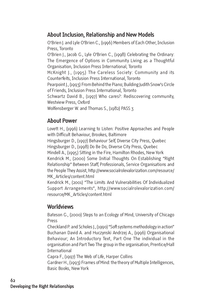# **About Inclusion, Relationship and New Models**

O'Brien J. and Lyle O'Brien C., (1996) Members of Each Other, Inclusion Press, Toronto O'Brien J., Jacob G., Lyle O'Brien C., (1998) Celebrating the Ordinary: The Emergence of Options in Community Living as a Thoughtful Organisation, Inclusion Press International, Toronto McKnight J., (1995) The Careless Society: Community and its Counterfeits, Inclusion Press International, Toronto Pearpoint J., (1993) From Behind the Piano; Building Judith Snow's Circle of Friends, Inclusion Press International, Toronto Schwartz David B., (1997) Who cares?: Rediscovering community, Westview Press, Oxford Wolfensberger W. and Thomas S., (1982) PASS 3

# **About Power**

Lovett H., (1996) Learning to Listen: Positive Approaches and People with Difficult Behaviour, Brookes, Baltimore

Hingsburger D., (1997) Behaviour Self, Diverse City Press, Quebec

Hingsburger D., (1998) Do Be Do, Diverse City Press, Quebec

Mindell A., (1995) Sitting in the Fire, Hamilton Rhodes, New York Kendrick M., (2000) Some Initial Thoughts On Establishing "Right Relationship" Between Staff, Professionals, Service Organisations and the People They Assist, http://www.socialrolevalorization.com/resource/ MK\_Articles/content.html

Kendrick M., (2001) "The Limits And Vulnerabilities Of Individualized Support Arrangements", http://www.socialrolevalorization.com/ resource/MK\_Articles/content.html

# **Worldviews**

Bateson G., (2000) Steps to an Ecology of Mind, University of Chicago Press

Checkland P. and Scholes J., (1990) "Soft systems methodology in action" Buchanan David A. and Huczynski Andrzej A., (1996) Organisational Behaviour; An Introductory Text, Part One The individual in the organisation and Part Two The group in the organisation, Prentice/Hall **International** 

Capra F., (1997) The Web of Life, Harper Collins

Gardner H., (1993) Frames of Mind: the theory of Multiple Intelligences, Basic Books, New York